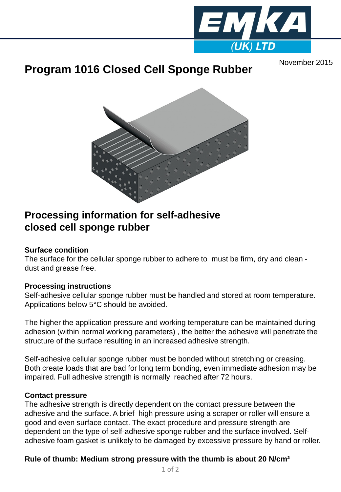

# November 2015 **Program 1016 Closed Cell Sponge Rubber**



# **Processing information for self-adhesive closed cell sponge rubber**

#### **Surface condition**

The surface for the cellular sponge rubber to adhere to must be firm, dry and clean dust and grease free.

#### **Processing instructions**

Self-adhesive cellular sponge rubber must be handled and stored at room temperature. Applications below 5°C should be avoided.

The higher the application pressure and working temperature can be maintained during adhesion (within normal working parameters) , the better the adhesive will penetrate the structure of the surface resulting in an increased adhesive strength.

Self-adhesive cellular sponge rubber must be bonded without stretching or creasing. Both create loads that are bad for long term bonding, even immediate adhesion may be impaired. Full adhesive strength is normally reached after 72 hours.

#### **Contact pressure**

The adhesive strength is directly dependent on the contact pressure between the adhesive and the surface. A brief high pressure using a scraper or roller will ensure a good and even surface contact. The exact procedure and pressure strength are dependent on the type of self-adhesive sponge rubber and the surface involved. Selfadhesive foam gasket is unlikely to be damaged by excessive pressure by hand or roller.

## **Rule of thumb: Medium strong pressure with the thumb is about 20 N/cm²**